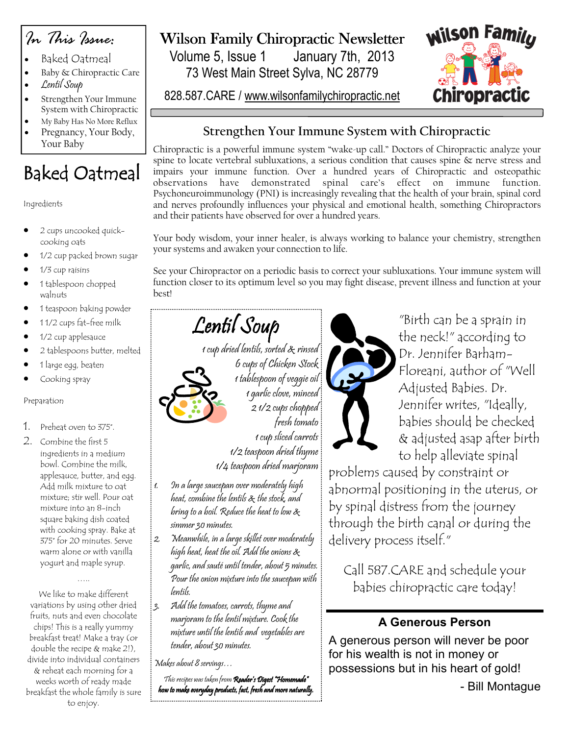

- Baked Oatmeal
- Baby & Chiropractic Care
- Lentil Soup
- Strengthen Your Immune System with Chiropractic
- My Baby Has No More Reflux
- Pregnancy, Your Body, Your Baby

# Baked Oatmeal

### Ingredients

- 2 cups uncooked quickcooking oats
- 1/2 cup packed brown sugar
- 1/3 cup raisins
- 1 tablespoon chopped walnuts
- 1 teaspoon baking powder
- 1 1/2 cups fat-free milk
- 1/2 cup applesauce
- 2 tablespoons butter, melted
- 1 large egg, beaten
- Cooking spray

### Preparation

- 1. Preheat oven to 375°.
- 2. Combine the first 5 ingredients in a medium bowl. Combine the milk, applesauce, butter, and egg. Add milk mixture to oat mixture; stir well. Pour oat mixture into an 8-inch square baking dish coated with cooking spray. Bake at 375° for 20 minutes. Serve warm alone or with vanilla yogurt and maple syrup.

We like to make different variations by using other dried fruits, nuts and even chocolate chips! This is a really yummy breakfast treat! Make a tray (or double the recipe & make 2!), divide into individual containers & reheat each morning for a weeks worth of ready made breakfast the whole family is sure to enjoy.

……

## Wilson Family Chiropractic Newsletter

Volume 5, Issue 1 January 7th, 2013 73 West Main Street Sylva, NC 28779

828.587.CARE / www.wilsonfamilychiropractic.net



### Strengthen Your Immune System with Chiropractic

Chiropractic is a powerful immune system "wake-up call." Doctors of Chiropractic analyze your spine to locate vertebral subluxations, a serious condition that causes spine & nerve stress and impairs your immune function. Over a hundred years of Chiropractic and osteopathic observations have demonstrated spinal care's effect on immune function. Psychoneuroimmunology (PNI) is increasingly revealing that the health of your brain, spinal cord and nerves profoundly influences your physical and emotional health, something Chiropractors and their patients have observed for over a hundred years.

Your body wisdom, your inner healer, is always working to balance your chemistry, strengthen your systems and awaken your connection to life.

See your Chiropractor on a periodic basis to correct your subluxations. Your immune system will function closer to its optimum level so you may fight disease, prevent illness and function at your best!

# Lentil Soup

1 cup dried lentils, sorted & rinsed 6 cups of Chicken Stock 1 tablespoon of veggie oil 1 garlic clove, minced 2 1/2 cups chopped fresh tomato 1 cup sliced carrots

1/2 teaspoon dried thyme 1/4 teaspoon dried marjoram

- 1. In a large saucepan over moderately high heat, combine the lentils & the stock, and bring to a boil. Reduce the heat to low & simmer 30 minutes.
- 2. Meanwhile, in a large skillet over moderately high heat, heat the oil. Add the onions & garlic, and sauté until tender, about 5 minutes. Pour the onion mixture into the saucepan with lentils.
- 3. Add the tomatoes, carrots, thyme and marjoram to the lentil mixture. Cook the mixture until the lentils and vegetables are tender, about 30 minutes.

Makes about 8 servings…

This recipes was taken from **Reader's Digest "Homemade"** how to make everyday products, fast, fresh and more naturally.



"Birth can be a sprain in the neck!" according to Dr. Jennifer Barham-Floreani, author of "Well Adjusted Babies. Dr. Jennifer writes, "Ideally, babies should be checked & adjusted asap after birth to help alleviate spinal

problems caused by constraint or abnormal positioning in the uterus, or by spinal distress from the journey through the birth canal or during the delivery process itself."

Call 587.CARE and schedule your babies chiropractic care today!

### A Generous Person

A generous person will never be poor for his wealth is not in money or possessions but in his heart of gold!

- Bill Montague